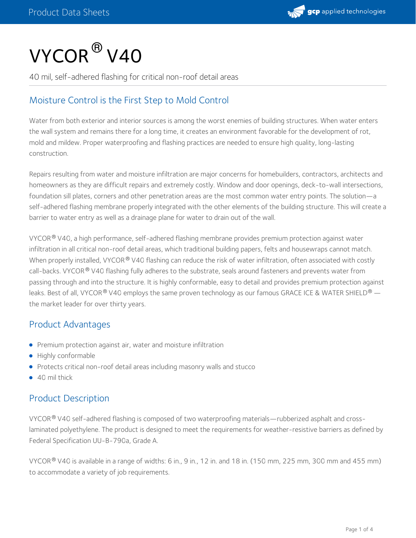# $\mathsf{VYCOR}^{\circledR}\mathsf{V4O}$

40 mil, self-adhered flashing for critical non-roof detail areas

# Moisture Control is the First Step to Mold Control

Water from both exterior and interior sources is among the worst enemies of building structures. When water enters the wall system and remains there for a long time, it creates an environment favorable for the development of rot, mold and mildew. Proper waterproofing and flashing practices are needed to ensure high quality, long-lasting construction.

Repairs resulting from water and moisture infiltration are major concerns for homebuilders, contractors, architects and homeowners as they are difficult repairs and extremely costly. Window and door openings, deck-to-wall intersections, foundation sill plates, corners and other penetration areas are the most common water entry points. The solution—a self-adhered flashing membrane properly integrated with the other elements of the building structure. This will create a barrier to water entry as well as a drainage plane for water to drain out of the wall.

<code>VYCOR®</code> <code>V40,</code> a high performance, self-adhered flashing membrane provides premium protection against water  $\,$ infiltration in all critical non-roof detail areas, which traditional building papers, felts and housewraps cannot match. When properly installed, VYCOR  $^\circledR$  V40 flashing can reduce the risk of water infiltration, often associated with costly call-backs. VYCOR® V40 flashing fully adheres to the substrate, seals around fasteners and prevents water from passing through and into the structure. It is highly conformable, easy to detail and provides premium protection against leaks. Best of all, VYCOR® V40 employs the same proven technology as our famous GRACE ICE & WATER SHIELD® the market leader for over thirty years.

# Product Advantages

- **•** Premium protection against air, water and moisture infiltration
- Highly conformable
- Protects critical non-roof detail areas including masonry walls and stucco
- 40 mil thick

# Product Description

<code>VYCOR®</code> <code>V40</code> self-adhered flashing is composed of two waterproofing materials—rubberized asphalt and cross-</mark> laminated polyethylene. The product is designed to meet the requirements for weather-resistive barriers as defined by Federal Specification UU-B-790a, Grade A.

VYCOR $^\circ$  V40 is available in a range of widths: 6 in., 9 in., 12 in. and 18 in. (150 mm, 225 mm, 300 mm and 455 mm) to accommodate a variety of job requirements.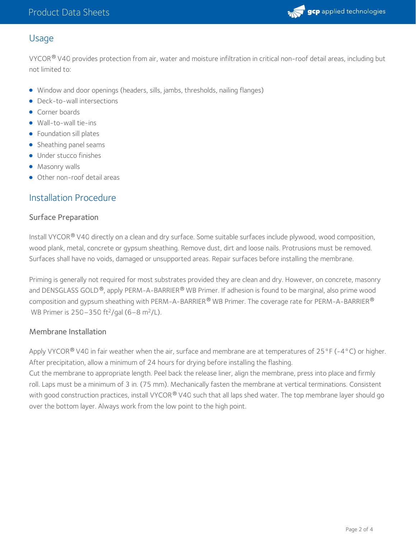

## Usage

VYCOR $^\circ$  V40 provides protection from air, water and moisture infiltration in critical non-roof detail areas, including but not limited to:

- Window and door openings (headers, sills, jambs, thresholds, nailing flanges)
- Deck-to-wall intersections
- **Corner boards**
- Wall-to-wall tie-ins
- Foundation sill plates
- Sheathing panel seams
- **·** Under stucco finishes
- **Masonry walls**
- Other non-roof detail areas

## Installation Procedure

#### Surface Preparation

Install VYCOR® V40 directly on a clean and dry surface. Some suitable surfaces include plywood, wood composition, wood plank, metal, concrete or gypsum sheathing. Remove dust, dirt and loose nails. Protrusions must be removed. Surfaces shall have no voids, damaged or unsupported areas. Repair surfaces before installing the membrane.

Priming is generally not required for most substrates provided they are clean and dry. However, on concrete, masonry and DENSGLASS GOLD  $^\circledR$ , apply PERM-A-BARRIER  $^\circledR$  WB Primer. If adhesion is found to be marginal, also prime wood composition and gypsum sheathing with PERM-A-BARRIER® WB Primer. The coverage rate for PERM-A-BARRIER®  $\,$ WB Primer is 250–350 ft<sup>2</sup>/gal (6–8 m<sup>2</sup>/L).

#### Membrane Installation

Apply VYCOR  $^\circ$  V40 in fair weather when the air, surface and membrane are at temperatures of 25°F (-4°C) or higher. After precipitation, allow a minimum of 24 hours for drying before installing the flashing.

Cut the membrane to appropriate length. Peel back the release liner, align the membrane, press into place and firmly roll. Laps must be a minimum of 3 in. (75 mm). Mechanically fasten the membrane at vertical terminations. Consistent with good construction practices, install VYCOR® V40 such that all laps shed water. The top membrane layer should go over the bottom layer. Always work from the low point to the high point.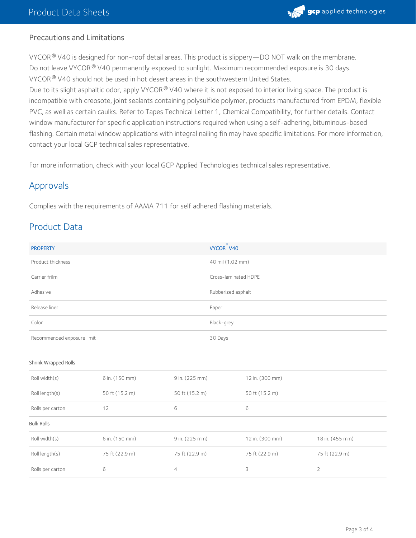

#### Precautions and Limitations

VYCOR $^\circledR$  V40 is designed for non-roof detail areas. This product is slippery—DO NOT walk on the membrane.  $^+$ Do not leave VYCOR  $^{\circledR}$  V40 permanently exposed to sunlight. Maximum recommended exposure is 30 days. VYCOR $^\circledR$  V40 should not be used in hot desert areas in the southwestern United States.

Due to its slight asphaltic odor, apply VYCOR® V40 where it is not exposed to interior living space. The product is incompatible with creosote, joint sealants containing polysulfide polymer, products manufactured from EPDM, flexible PVC, as well as certain caulks. Refer to Tapes Technical Letter 1, Chemical Compatibility, for further details. Contact window manufacturer for specific application instructions required when using a self-adhering, bituminous-based flashing. Certain metal window applications with integral nailing fin may have specific limitations. For more information, contact your local GCP technical sales representative.

For more information, check with your local GCP Applied Technologies technical sales representative.

## Approvals

Complies with the requirements of AAMA 711 for self adhered flashing materials.

## Product Data

| <b>PROPERTY</b>            | $^{\circ}$<br>VYCOR V40 |
|----------------------------|-------------------------|
| Product thickness          | 40 mil (1.02 mm)        |
| Carrier frilm              | Cross-laminated HDPE    |
| Adhesive                   | Rubberized asphalt      |
| Release liner              | Paper                   |
| Color                      | Black-grey              |
| Recommended exposure limit | 30 Days                 |

#### Shrink Wrapped Rolls

| Roll width(s)     | 6 in. (150 mm) | 9 in. (225 mm) | 12 in. (300 mm) |                 |
|-------------------|----------------|----------------|-----------------|-----------------|
| Roll length(s)    | 50 ft (15.2 m) | 50 ft (15.2 m) | 50 ft (15.2 m)  |                 |
| Rolls per carton  | 12             | 6              | 6               |                 |
| <b>Bulk Rolls</b> |                |                |                 |                 |
| Roll width(s)     | 6 in. (150 mm) | 9 in. (225 mm) | 12 in. (300 mm) | 18 in. (455 mm) |
| Roll length(s)    | 75 ft (22.9 m) | 75 ft (22.9 m) | 75 ft (22.9 m)  | 75 ft (22.9 m)  |
| Rolls per carton  | 6              | $\overline{4}$ | 3               | $\overline{2}$  |